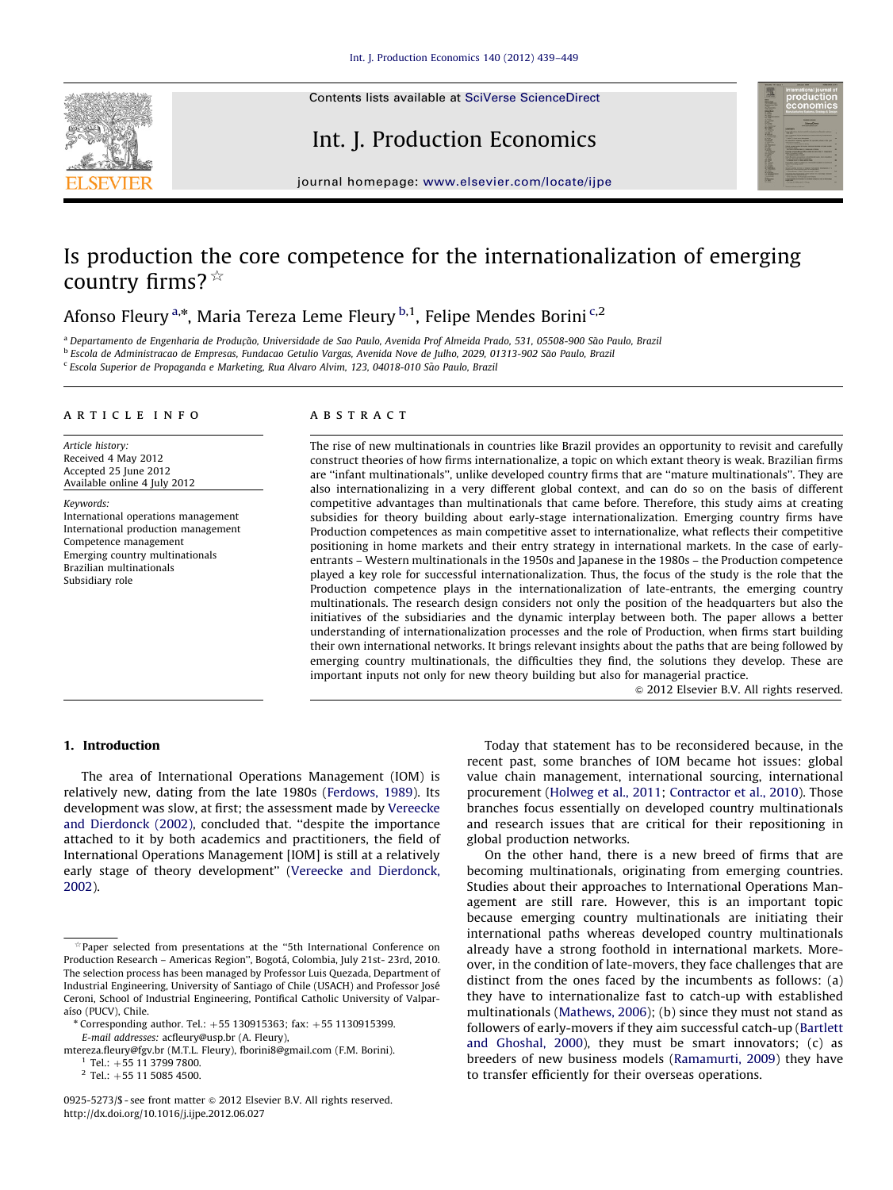Contents lists available at [SciVerse ScienceDirect](www.elsevier.com/locate/ijpe)







journal homepage: <www.elsevier.com/locate/ijpe>

## Is production the core competence for the internationalization of emerging country firms?  $*$

Afonso Fleury <sup>a,\*</sup>, Maria Tereza Leme Fleury <sup>b,1</sup>, Felipe Mendes Borini <sup>c,2</sup>

<sup>a</sup> Departamento de Engenharia de Produção, Universidade de Sao Paulo, Avenida Prof Almeida Prado, 531, 05508-900 São Paulo, Brazil <sup>b</sup> Escola de Administracao de Empresas, Fundacao Getulio Vargas, Avenida Nove de Julho, 2029, 01313-902 Sao Paulo, Brazil ~

<sup>c</sup> Escola Superior de Propaganda e Marketing, Rua Alvaro Alvim, 123, 04018-010 Sao Paulo, Brazil ~

#### article info

Article history: Received 4 May 2012 Accepted 25 June 2012 Available online 4 July 2012

Keywords: International operations management International production management Competence management Emerging country multinationals Brazilian multinationals Subsidiary role

#### **ABSTRACT**

The rise of new multinationals in countries like Brazil provides an opportunity to revisit and carefully construct theories of how firms internationalize, a topic on which extant theory is weak. Brazilian firms are ''infant multinationals'', unlike developed country firms that are ''mature multinationals''. They are also internationalizing in a very different global context, and can do so on the basis of different competitive advantages than multinationals that came before. Therefore, this study aims at creating subsidies for theory building about early-stage internationalization. Emerging country firms have Production competences as main competitive asset to internationalize, what reflects their competitive positioning in home markets and their entry strategy in international markets. In the case of earlyentrants – Western multinationals in the 1950s and Japanese in the 1980s – the Production competence played a key role for successful internationalization. Thus, the focus of the study is the role that the Production competence plays in the internationalization of late-entrants, the emerging country multinationals. The research design considers not only the position of the headquarters but also the initiatives of the subsidiaries and the dynamic interplay between both. The paper allows a better understanding of internationalization processes and the role of Production, when firms start building their own international networks. It brings relevant insights about the paths that are being followed by emerging country multinationals, the difficulties they find, the solutions they develop. These are important inputs not only for new theory building but also for managerial practice.

 $\odot$  2012 Elsevier B.V. All rights reserved.

#### 1. Introduction

The area of International Operations Management (IOM) is relatively new, dating from the late 1980s [\(Ferdows, 1989](#page--1-0)). Its development was slow, at first; the assessment made by [Vereecke](#page--1-0) [and Dierdonck \(2002\),](#page--1-0) concluded that. ''despite the importance attached to it by both academics and practitioners, the field of International Operations Management [IOM] is still at a relatively early stage of theory development'' [\(Vereecke and Dierdonck,](#page--1-0) [2002\)](#page--1-0).

 $2$  Tel.: +55 11 5085 4500.

Today that statement has to be reconsidered because, in the recent past, some branches of IOM became hot issues: global value chain management, international sourcing, international procurement ([Holweg et al., 2011](#page--1-0); [Contractor et al., 2010\)](#page--1-0). Those branches focus essentially on developed country multinationals and research issues that are critical for their repositioning in global production networks.

On the other hand, there is a new breed of firms that are becoming multinationals, originating from emerging countries. Studies about their approaches to International Operations Management are still rare. However, this is an important topic because emerging country multinationals are initiating their international paths whereas developed country multinationals already have a strong foothold in international markets. Moreover, in the condition of late-movers, they face challenges that are distinct from the ones faced by the incumbents as follows: (a) they have to internationalize fast to catch-up with established multinationals ([Mathews, 2006](#page--1-0)); (b) since they must not stand as followers of early-movers if they aim successful catch-up ([Bartlett](#page--1-0) [and Ghoshal, 2000\)](#page--1-0), they must be smart innovators; (c) as breeders of new business models ([Ramamurti, 2009](#page--1-0)) they have to transfer efficiently for their overseas operations.

 $*$  Paper selected from presentations at the "5th International Conference on Production Research – Americas Region", Bogotá, Colombia, July 21st- 23rd, 2010. The selection process has been managed by Professor Luis Quezada, Department of Industrial Engineering, University of Santiago of Chile (USACH) and Professor Jose´ Ceroni, School of Industrial Engineering, Pontifical Catholic University of Valparaíso (PUCV), Chile.

Corresponding author. Tel.:  $+55$  130915363; fax:  $+55$  1130915399. E-mail addresses: [acfleury@usp.br \(A. Fleury\),](mailto:acfleury@usp.br)

[mtereza.fleury@fgv.br \(M.T.L. Fleury\)](mailto:mtereza.fleury@fgv.br), [fborini8@gmail.com \(F.M. Borini\).](mailto:fborini8@gmail.com)  $1$  Tel.:  $+55$  11 3799 7800.

<sup>0925-5273/\$ -</sup> see front matter @ 2012 Elsevier B.V. All rights reserved. [http://dx.doi.org/10.1016/j.ijpe.2012.06.027](dx.doi.org/10.1016/j.ijpe.2012.06.027)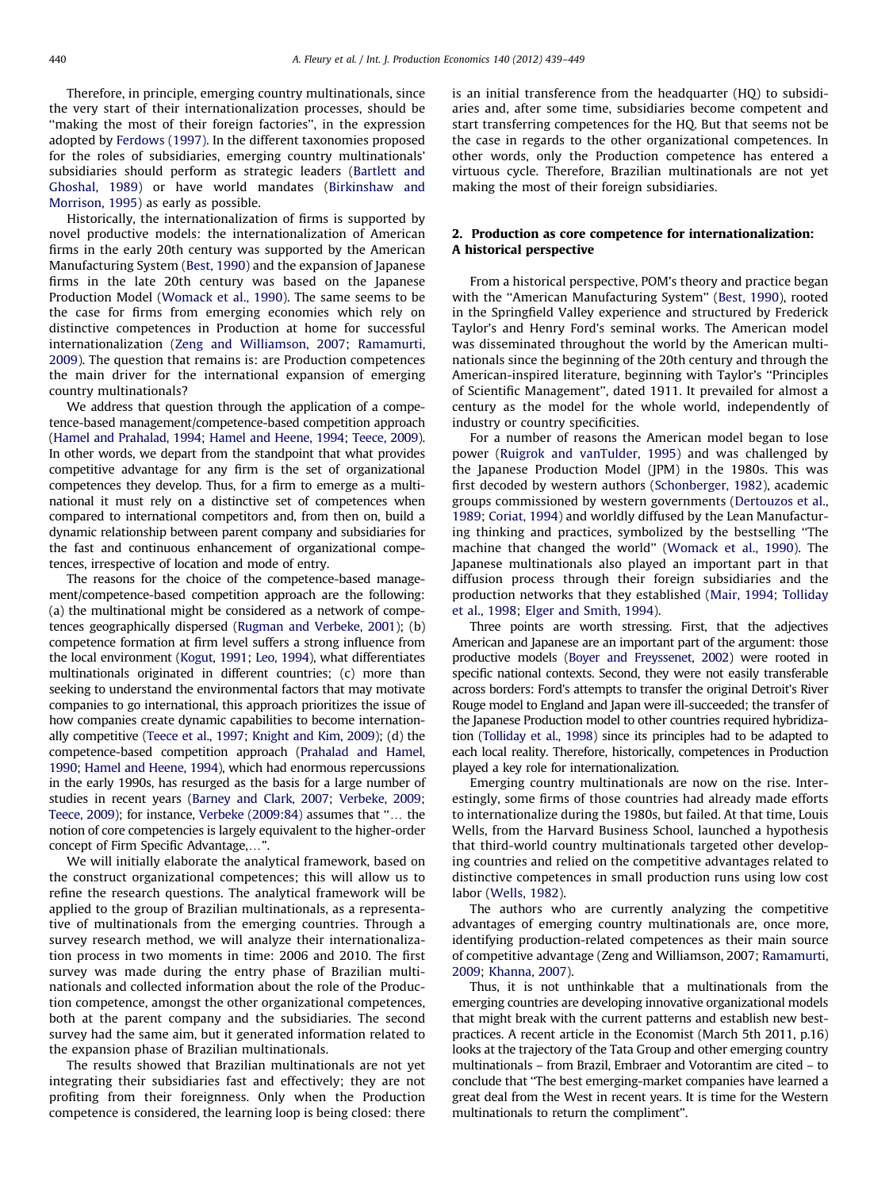Therefore, in principle, emerging country multinationals, since the very start of their internationalization processes, should be "making the most of their foreign factories", in the expression adopted by [Ferdows \(1997\).](#page--1-0) In the different taxonomies proposed for the roles of subsidiaries, emerging country multinationals' subsidiaries should perform as strategic leaders ([Bartlett and](#page--1-0) [Ghoshal, 1989](#page--1-0)) or have world mandates [\(Birkinshaw and](#page--1-0) [Morrison, 1995\)](#page--1-0) as early as possible.

Historically, the internationalization of firms is supported by novel productive models: the internationalization of American firms in the early 20th century was supported by the American Manufacturing System [\(Best, 1990\)](#page--1-0) and the expansion of Japanese firms in the late 20th century was based on the Japanese Production Model [\(Womack et al., 1990\)](#page--1-0). The same seems to be the case for firms from emerging economies which rely on distinctive competences in Production at home for successful internationalization ([Zeng and Williamson, 2007;](#page--1-0) [Ramamurti,](#page--1-0) [2009\)](#page--1-0). The question that remains is: are Production competences the main driver for the international expansion of emerging country multinationals?

We address that question through the application of a competence-based management/competence-based competition approach ([Hamel and Prahalad, 1994](#page--1-0); [Hamel and Heene, 1994;](#page--1-0) [Teece, 2009\)](#page--1-0). In other words, we depart from the standpoint that what provides competitive advantage for any firm is the set of organizational competences they develop. Thus, for a firm to emerge as a multinational it must rely on a distinctive set of competences when compared to international competitors and, from then on, build a dynamic relationship between parent company and subsidiaries for the fast and continuous enhancement of organizational competences, irrespective of location and mode of entry.

The reasons for the choice of the competence-based management/competence-based competition approach are the following: (a) the multinational might be considered as a network of competences geographically dispersed ([Rugman and Verbeke, 2001\)](#page--1-0); (b) competence formation at firm level suffers a strong influence from the local environment [\(Kogut, 1991](#page--1-0); [Leo, 1994](#page--1-0)), what differentiates multinationals originated in different countries; (c) more than seeking to understand the environmental factors that may motivate companies to go international, this approach prioritizes the issue of how companies create dynamic capabilities to become internationally competitive [\(Teece et al., 1997;](#page--1-0) [Knight and Kim, 2009](#page--1-0)); (d) the competence-based competition approach [\(Prahalad and Hamel,](#page--1-0) [1990](#page--1-0); [Hamel and Heene, 1994](#page--1-0)), which had enormous repercussions in the early 1990s, has resurged as the basis for a large number of studies in recent years [\(Barney and Clark, 2007](#page--1-0); [Verbeke, 2009;](#page--1-0) [Teece, 2009](#page--1-0)); for instance, Verbeke  $(2009:84)$  assumes that " $\dots$  the notion of core competencies is largely equivalent to the higher-order concept of Firm Specific Advantage,...".

We will initially elaborate the analytical framework, based on the construct organizational competences; this will allow us to refine the research questions. The analytical framework will be applied to the group of Brazilian multinationals, as a representative of multinationals from the emerging countries. Through a survey research method, we will analyze their internationalization process in two moments in time: 2006 and 2010. The first survey was made during the entry phase of Brazilian multinationals and collected information about the role of the Production competence, amongst the other organizational competences, both at the parent company and the subsidiaries. The second survey had the same aim, but it generated information related to the expansion phase of Brazilian multinationals.

The results showed that Brazilian multinationals are not yet integrating their subsidiaries fast and effectively; they are not profiting from their foreignness. Only when the Production competence is considered, the learning loop is being closed: there is an initial transference from the headquarter (HQ) to subsidiaries and, after some time, subsidiaries become competent and start transferring competences for the HQ. But that seems not be the case in regards to the other organizational competences. In other words, only the Production competence has entered a virtuous cycle. Therefore, Brazilian multinationals are not yet making the most of their foreign subsidiaries.

### 2. Production as core competence for internationalization: A historical perspective

From a historical perspective, POM's theory and practice began with the ''American Manufacturing System'' [\(Best, 1990\)](#page--1-0), rooted in the Springfield Valley experience and structured by Frederick Taylor's and Henry Ford's seminal works. The American model was disseminated throughout the world by the American multinationals since the beginning of the 20th century and through the American-inspired literature, beginning with Taylor's ''Principles of Scientific Management'', dated 1911. It prevailed for almost a century as the model for the whole world, independently of industry or country specificities.

For a number of reasons the American model began to lose power ([Ruigrok and vanTulder, 1995](#page--1-0)) and was challenged by the Japanese Production Model (JPM) in the 1980s. This was first decoded by western authors ([Schonberger, 1982\)](#page--1-0), academic groups commissioned by western governments [\(Dertouzos et al.,](#page--1-0) [1989;](#page--1-0) [Coriat, 1994](#page--1-0)) and worldly diffused by the Lean Manufacturing thinking and practices, symbolized by the bestselling ''The machine that changed the world'' [\(Womack et al., 1990](#page--1-0)). The Japanese multinationals also played an important part in that diffusion process through their foreign subsidiaries and the production networks that they established ([Mair, 1994](#page--1-0); [Tolliday](#page--1-0) [et al., 1998;](#page--1-0) [Elger and Smith, 1994](#page--1-0)).

Three points are worth stressing. First, that the adjectives American and Japanese are an important part of the argument: those productive models [\(Boyer and Freyssenet, 2002](#page--1-0)) were rooted in specific national contexts. Second, they were not easily transferable across borders: Ford's attempts to transfer the original Detroit's River Rouge model to England and Japan were ill-succeeded; the transfer of the Japanese Production model to other countries required hybridization [\(Tolliday et al., 1998\)](#page--1-0) since its principles had to be adapted to each local reality. Therefore, historically, competences in Production played a key role for internationalization.

Emerging country multinationals are now on the rise. Interestingly, some firms of those countries had already made efforts to internationalize during the 1980s, but failed. At that time, Louis Wells, from the Harvard Business School, launched a hypothesis that third-world country multinationals targeted other developing countries and relied on the competitive advantages related to distinctive competences in small production runs using low cost labor [\(Wells, 1982\)](#page--1-0).

The authors who are currently analyzing the competitive advantages of emerging country multinationals are, once more, identifying production-related competences as their main source of competitive advantage (Zeng and Williamson, 2007; [Ramamurti,](#page--1-0) [2009](#page--1-0); [Khanna, 2007](#page--1-0)).

Thus, it is not unthinkable that a multinationals from the emerging countries are developing innovative organizational models that might break with the current patterns and establish new bestpractices. A recent article in the Economist (March 5th 2011, p.16) looks at the trajectory of the Tata Group and other emerging country multinationals – from Brazil, Embraer and Votorantim are cited – to conclude that ''The best emerging-market companies have learned a great deal from the West in recent years. It is time for the Western multinationals to return the compliment''.